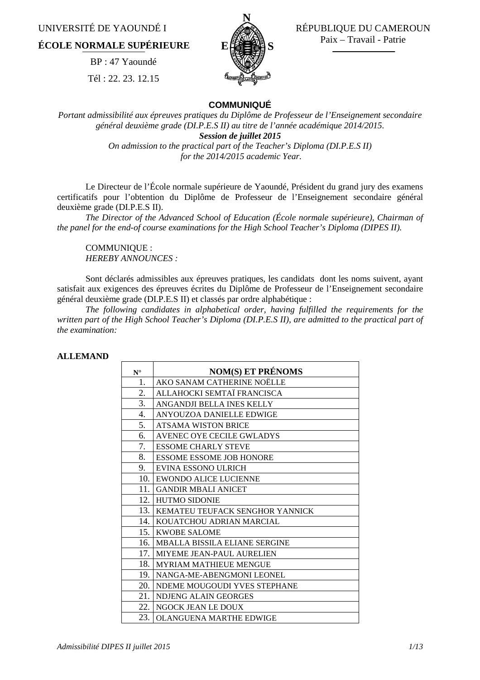UNIVERSITÉ DE YAOUNDÉ I

## **ÉCOLE NORMALE SUPÉRIEURE**

BP : 47 Yaoundé Tél : 22. 23. 12.15



 RÉPUBLIQUE DU CAMEROUN Paix – Travail - Patrie

#### **COMMUNIQUÉ**

*Portant admissibilité aux épreuves pratiques du Diplôme de Professeur de l'Enseignement secondaire général deuxième grade (DI.P.E.S II) au titre de l'année académique 2014/2015. Session de juillet 2015 On admission to the practical part of the Teacher's Diploma (DI.P.E.S II) for the 2014/2015 academic Year.* 

Le Directeur de l'École normale supérieure de Yaoundé, Président du grand jury des examens certificatifs pour l'obtention du Diplôme de Professeur de l'Enseignement secondaire général deuxième grade (DI.P.E.S II).

*The Director of the Advanced School of Education (École normale supérieure), Chairman of the panel for the end-of course examinations for the High School Teacher's Diploma (DIPES II).*

COMMUNIQUE : *HEREBY ANNOUNCES :* 

Sont déclarés admissibles aux épreuves pratiques, les candidats dont les noms suivent, ayant satisfait aux exigences des épreuves écrites du Diplôme de Professeur de l'Enseignement secondaire général deuxième grade (DI.P.E.S II) et classés par ordre alphabétique :

*The following candidates in alphabetical order, having fulfilled the requirements for the written part of the High School Teacher's Diploma (DI.P.E.S II), are admitted to the practical part of the examination:*

#### **ALLEMAND**

| $N^{\circ}$      | <b>NOM(S) ET PRÉNOMS</b>             |
|------------------|--------------------------------------|
| 1.               | AKO SANAM CATHERINE NOËLLE           |
| 2.               | ALLAHOCKI SEMTAÏ FRANCISCA           |
| 3.               | ANGANDJI BELLA INES KELLY            |
| $\overline{4}$ . | ANYOUZOA DANIELLE EDWIGE             |
| 5.               | <b>ATSAMA WISTON BRICE</b>           |
| 6.               | AVENEC OYE CECILE GWLADYS            |
| 7.               | <b>ESSOME CHARLY STEVE</b>           |
| 8.               | <b>ESSOME ESSOME JOB HONORE</b>      |
| 9.               | EVINA ESSONO ULRICH                  |
| 10.              | <b>EWONDO ALICE LUCIENNE</b>         |
| 11.              | <b>GANDIR MBALI ANICET</b>           |
| 12.              | <b>HUTMO SIDONIE</b>                 |
| 13.              | KEMATEU TEUFACK SENGHOR YANNICK      |
| 14.              | KOUATCHOU ADRIAN MARCIAL             |
| 15.              | <b>KWOBE SALOME</b>                  |
| 16.              | <b>MBALLA BISSILA ELIANE SERGINE</b> |
| 17.              | <b>MIYEME JEAN-PAUL AURELIEN</b>     |
| 18.              | <b>MYRIAM MATHIEUE MENGUE</b>        |
| 19.              | NANGA-ME-ABENGMONI LEONEL            |
| 20.              | NDEME MOUGOUDI YVES STEPHANE         |
| 21.              | NDJENG ALAIN GEORGES                 |
| 22.              | NGOCK JEAN LE DOUX                   |
| 23.              | <b>OLANGUENA MARTHE EDWIGE</b>       |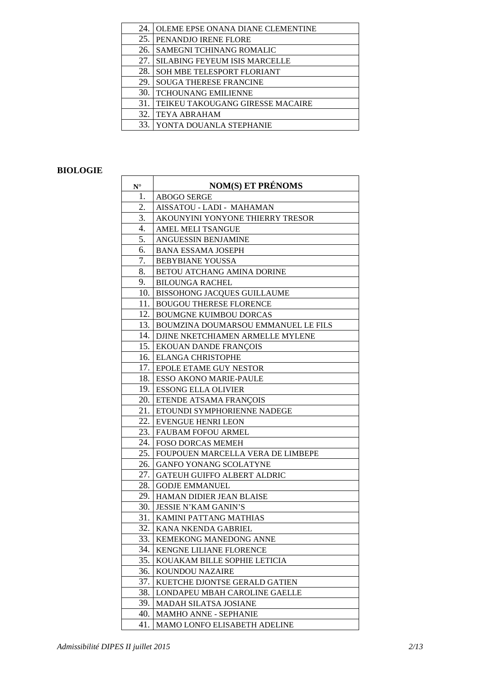| 24. | OLEME EPSE ONANA DIANE CLEMENTINE    |
|-----|--------------------------------------|
| 25. | PENANDJO IRENE FLORE                 |
| 26. | SAMEGNI TCHINANG ROMALIC             |
| 27. | <b>SILABING FEYEUM ISIS MARCELLE</b> |
| 28. | SOH MBE TELESPORT FLORIANT           |
| 29. | <b>SOUGA THERESE FRANCINE</b>        |
| 30  | <b>TCHOUNANG EMILIENNE</b>           |
| 31. | TEIKEU TAKOUGANG GIRESSE MACAIRE     |
| 32. | <b>TEYA ABRAHAM</b>                  |
|     | YONTA DOUANLA STEPHANIE              |

#### **BIOLOGIE**

| $\mathbf{N}^{\circ}$ | <b>NOM(S) ET PRÉNOMS</b>            |
|----------------------|-------------------------------------|
| 1.                   | <b>ABOGO SERGE</b>                  |
| 2.                   | AISSATOU - LADI - MAHAMAN           |
| 3.                   | AKOUNYINI YONYONE THIERRY TRESOR    |
| 4.                   | <b>AMEL MELI TSANGUE</b>            |
| 5.                   | ANGUESSIN BENJAMINE                 |
| 6.                   | <b>BANA ESSAMA JOSEPH</b>           |
| 7.                   | <b>BEBYBIANE YOUSSA</b>             |
| 8.                   | <b>BETOU ATCHANG AMINA DORINE</b>   |
| 9.                   | <b>BILOUNGA RACHEL</b>              |
| 10.                  | <b>BISSOHONG JACQUES GUILLAUME</b>  |
| 11.                  | <b>BOUGOU THERESE FLORENCE</b>      |
| 12.                  | <b>BOUMGNE KUIMBOU DORCAS</b>       |
| 13.                  | BOUMZINA DOUMARSOU EMMANUEL LE FILS |
| 14.                  | DJINE NKETCHIAMEN ARMELLE MYLENE    |
| 15.                  | EKOUAN DANDE FRANÇOIS               |
| 16.                  | <b>ELANGA CHRISTOPHE</b>            |
| 17.                  | EPOLE ETAME GUY NESTOR              |
| 18.                  | <b>ESSO AKONO MARIE-PAULE</b>       |
| 19.                  | <b>ESSONG ELLA OLIVIER</b>          |
| 20.                  | ETENDE ATSAMA FRANÇOIS              |
| 21.                  | ETOUNDI SYMPHORIENNE NADEGE         |
| 22.                  | <b>EVENGUE HENRI LEON</b>           |
| 23.                  | <b>FAUBAM FOFOU ARMEL</b>           |
| 24.                  | <b>FOSO DORCAS MEMEH</b>            |
| 25.                  | FOUPOUEN MARCELLA VERA DE LIMBEPE   |
| 26.                  | GANFO YONANG SCOLATYNE              |
| 27.                  | <b>GATEUH GUIFFO ALBERT ALDRIC</b>  |
| 28.                  | <b>GODJE EMMANUEL</b>               |
| 29.                  | <b>HAMAN DIDIER JEAN BLAISE</b>     |
| 30.                  | <b>JESSIE N'KAM GANIN'S</b>         |
| 31.                  | KAMINI PATTANG MATHIAS              |
| 32.                  | KANA NKENDA GABRIEL                 |
| 33.                  | <b>KEMEKONG MANEDONG ANNE</b>       |
| 34.                  | <b>KENGNE LILIANE FLORENCE</b>      |
| 35.                  | KOUAKAM BILLE SOPHIE LETICIA        |
| 36.                  | KOUNDOU NAZAIRE                     |
| 37.                  | KUETCHE DJONTSE GERALD GATIEN       |
| 38.                  | LONDAPEU MBAH CAROLINE GAELLE       |
| 39.                  | <b>MADAH SILATSA JOSIANE</b>        |
| 40.                  | <b>MAMHO ANNE - SEPHANIE</b>        |
| 41.                  | MAMO LONFO ELISABETH ADELINE        |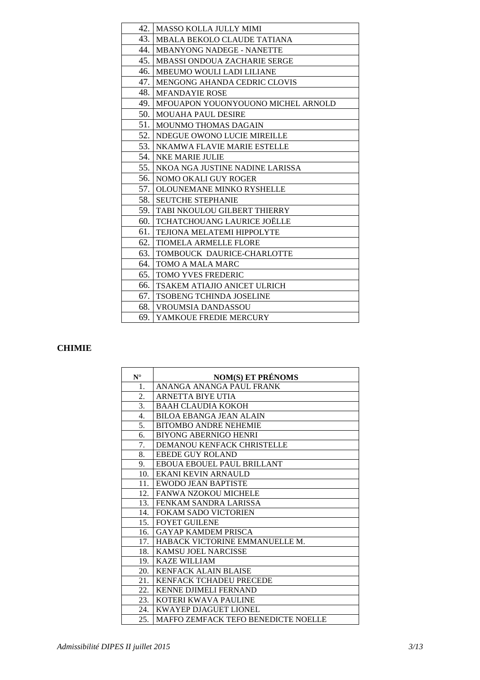| 42.  | <b>MASSO KOLLA JULLY MIMI</b>       |
|------|-------------------------------------|
| 43.  | MBALA BEKOLO CLAUDE TATIANA         |
| 44.  | <b>MBANYONG NADEGE - NANETTE</b>    |
| 45.  | MBASSI ONDOUA ZACHARIE SERGE        |
| 46.  | MBEUMO WOULI LADI LILIANE           |
| 47.  | <b>MENGONG AHANDA CEDRIC CLOVIS</b> |
| 48.  | <b>MFANDAYIE ROSE</b>               |
| 49.  | MFOUAPON YOUONYOUONO MICHEL ARNOLD  |
| 50.  | <b>MOUAHA PAUL DESIRE</b>           |
| 51.  | MOUNMO THOMAS DAGAIN                |
| 52.  | NDEGUE OWONO LUCIE MIREILLE         |
| 53.  | NKAMWA FLAVIE MARIE ESTELLE         |
| 54.  | <b>NKE MARIE JULIE</b>              |
| 55.  | NKOA NGA JUSTINE NADINE LARISSA     |
| 56.  | NOMO OKALI GUY ROGER                |
| 57.1 | OLOUNEMANE MINKO RYSHELLE           |
| 58.  | <b>SEUTCHE STEPHANIE</b>            |
| 59.  | TABI NKOULOU GILBERT THIERRY        |
| 60.  | TCHATCHOUANG LAURICE JOËLLE         |
| 61.  | <b>TEJIONA MELATEMI HIPPOLYTE</b>   |
| 62.  | <b>TIOMELA ARMELLE FLORE</b>        |
| 63.  | TOMBOUCK DAURICE-CHARLOTTE          |
| 64.  | TOMO A MALA MARC                    |
| 65.  | <b>TOMO YVES FREDERIC</b>           |
| 66.  | TSAKEM ATIAJIO ANICET ULRICH        |
| 67.  | TSOBENG TCHINDA JOSELINE            |
| 68.  | <b>VROUMSIA DANDASSOU</b>           |
| 69.  | YAMKOUE FREDIE MERCURY              |
|      |                                     |

## **CHIMIE**

| $N^{\circ}$      | <b>NOM(S) ET PRÉNOMS</b>            |
|------------------|-------------------------------------|
| 1.               | ANANGA ANANGA PAUL FRANK            |
| 2.               | <b>ARNETTA BIYE UTIA</b>            |
| 3.               | <b>BAAH CLAUDIA KOKOH</b>           |
| $\overline{4}$ . | <b>BILOA EBANGA JEAN ALAIN</b>      |
| 5.               | <b>BITOMBO ANDRE NEHEMIE</b>        |
| 6.               | <b>BIYONG ABERNIGO HENRI</b>        |
| 7.               | DEMANOU KENFACK CHRISTELLE          |
| 8.               | <b>EBEDE GUY ROLAND</b>             |
| 9.               | EBOUA EBOUEL PAUL BRILLANT          |
| 10.              | EKANI KEVIN ARNAULD                 |
| 11.              | EWODO JEAN BAPTISTE                 |
| 12.              | <b>FANWA NZOKOU MICHELE</b>         |
| 13.              | FENKAM SANDRA LARISSA               |
| 14.              | <b>FOKAM SADO VICTORIEN</b>         |
| 15.              | <b>FOYET GUILENE</b>                |
| 16.              | <b>GAYAP KAMDEM PRISCA</b>          |
| 17.              | HABACK VICTORINE EMMANUELLE M.      |
| 18.              | <b>KAMSU JOEL NARCISSE</b>          |
| 19.              | <b>KAZE WILLIAM</b>                 |
| 20.              | <b>KENFACK ALAIN BLAISE</b>         |
| 21.              | KENFACK TCHADEU PRECEDE             |
| 22.              | <b>KENNE DJIMELI FERNAND</b>        |
| 23.              | KOTERI KWAVA PAULINE                |
| 24.              | <b>KWAYEP DJAGUET LIONEL</b>        |
| 25.              | MAFFO ZEMFACK TEFO BENEDICTE NOELLE |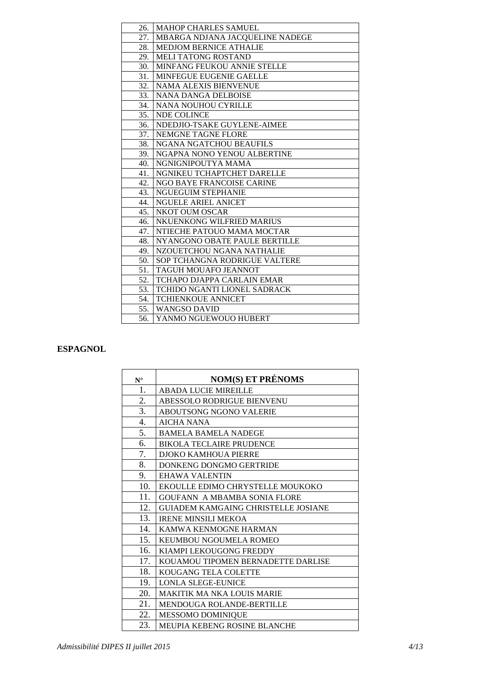| <b>MAHOP CHARLES SAMUEL</b><br>26.<br>27.<br>MBARGA NDJANA JACQUELINE NADEGE<br>MEDJOM BERNICE ATHALIE<br>28.<br>29.<br><b>MELI TATONG ROSTAND</b><br>30.<br>MINFANG FEUKOU ANNIE STELLE<br><b>MINFEGUE EUGENIE GAELLE</b><br>31.<br>32.<br><b>NAMA ALEXIS BIENVENUE</b><br>33.<br><b>NANA DANGA DELBOISE</b><br>34.<br>NANA NOUHOU CYRILLE<br>35.<br>NDE COLINCE<br>NDEDJIO-TSAKE GUYLENE-AIMEE<br>36.<br>37.<br>NEMGNE TAGNE FLORE<br>38.<br>NGANA NGATCHOU BEAUFILS<br>NGAPNA NONO YENOU ALBERTINE<br>39.<br>NGNIGNIPOUTYA MAMA<br>40.<br>NGNIKEU TCHAPTCHET DARELLE<br>41.<br>NGO BAYE FRANCOISE CARINE<br>42. |  |
|--------------------------------------------------------------------------------------------------------------------------------------------------------------------------------------------------------------------------------------------------------------------------------------------------------------------------------------------------------------------------------------------------------------------------------------------------------------------------------------------------------------------------------------------------------------------------------------------------------------------|--|
|                                                                                                                                                                                                                                                                                                                                                                                                                                                                                                                                                                                                                    |  |
|                                                                                                                                                                                                                                                                                                                                                                                                                                                                                                                                                                                                                    |  |
|                                                                                                                                                                                                                                                                                                                                                                                                                                                                                                                                                                                                                    |  |
|                                                                                                                                                                                                                                                                                                                                                                                                                                                                                                                                                                                                                    |  |
|                                                                                                                                                                                                                                                                                                                                                                                                                                                                                                                                                                                                                    |  |
|                                                                                                                                                                                                                                                                                                                                                                                                                                                                                                                                                                                                                    |  |
|                                                                                                                                                                                                                                                                                                                                                                                                                                                                                                                                                                                                                    |  |
|                                                                                                                                                                                                                                                                                                                                                                                                                                                                                                                                                                                                                    |  |
|                                                                                                                                                                                                                                                                                                                                                                                                                                                                                                                                                                                                                    |  |
|                                                                                                                                                                                                                                                                                                                                                                                                                                                                                                                                                                                                                    |  |
|                                                                                                                                                                                                                                                                                                                                                                                                                                                                                                                                                                                                                    |  |
|                                                                                                                                                                                                                                                                                                                                                                                                                                                                                                                                                                                                                    |  |
|                                                                                                                                                                                                                                                                                                                                                                                                                                                                                                                                                                                                                    |  |
|                                                                                                                                                                                                                                                                                                                                                                                                                                                                                                                                                                                                                    |  |
|                                                                                                                                                                                                                                                                                                                                                                                                                                                                                                                                                                                                                    |  |
|                                                                                                                                                                                                                                                                                                                                                                                                                                                                                                                                                                                                                    |  |
|                                                                                                                                                                                                                                                                                                                                                                                                                                                                                                                                                                                                                    |  |
| 43.<br><b>NGUEGUIM STEPHANIE</b>                                                                                                                                                                                                                                                                                                                                                                                                                                                                                                                                                                                   |  |
| 44.<br>NGUELE ARIEL ANICET                                                                                                                                                                                                                                                                                                                                                                                                                                                                                                                                                                                         |  |
| <b>NKOT OUM OSCAR</b><br>45.                                                                                                                                                                                                                                                                                                                                                                                                                                                                                                                                                                                       |  |
| NKUENKONG WILFRIED MARIUS<br>46.                                                                                                                                                                                                                                                                                                                                                                                                                                                                                                                                                                                   |  |
| NTIECHE PATOUO MAMA MOCTAR<br>47.                                                                                                                                                                                                                                                                                                                                                                                                                                                                                                                                                                                  |  |
| 48.<br>NYANGONO OBATE PAULE BERTILLE                                                                                                                                                                                                                                                                                                                                                                                                                                                                                                                                                                               |  |
| NZOUETCHOU NGANA NATHALIE<br>49.                                                                                                                                                                                                                                                                                                                                                                                                                                                                                                                                                                                   |  |
| SOP TCHANGNA RODRIGUE VALTERE<br>50.                                                                                                                                                                                                                                                                                                                                                                                                                                                                                                                                                                               |  |
| TAGUH MOUAFO JEANNOT<br>51.                                                                                                                                                                                                                                                                                                                                                                                                                                                                                                                                                                                        |  |
| 52.<br>TCHAPO DJAPPA CARLAIN EMAR                                                                                                                                                                                                                                                                                                                                                                                                                                                                                                                                                                                  |  |
| 53.<br><b>TCHIDO NGANTI LIONEL SADRACK</b>                                                                                                                                                                                                                                                                                                                                                                                                                                                                                                                                                                         |  |
| <b>TCHIENKOUE ANNICET</b><br>54.                                                                                                                                                                                                                                                                                                                                                                                                                                                                                                                                                                                   |  |
| 55.<br>WANGSO DAVID                                                                                                                                                                                                                                                                                                                                                                                                                                                                                                                                                                                                |  |
| 56.<br>YANMO NGUEWOUO HUBERT                                                                                                                                                                                                                                                                                                                                                                                                                                                                                                                                                                                       |  |

#### **ESPAGNOL**

| $N^{\circ}$ | <b>NOM(S) ET PRÉNOMS</b>                   |
|-------------|--------------------------------------------|
| 1.          | <b>ABADA LUCIE MIREILLE</b>                |
|             |                                            |
| 2.          | ABESSOLO RODRIGUE BIENVENU                 |
| 3.          | <b>ABOUTSONG NGONO VALERIE</b>             |
| 4.          | <b>AICHA NANA</b>                          |
| 5.          | <b>BAMELA BAMELA NADEGE</b>                |
| 6.          | <b>BIKOLA TECLAIRE PRUDENCE</b>            |
| 7.          | <b>DJOKO KAMHOUA PIERRE</b>                |
| 8.          | DONKENG DONGMO GERTRIDE                    |
| 9.          | <b>EHAWA VALENTIN</b>                      |
| 10.         | EKOULLE EDIMO CHRYSTELLE MOUKOKO           |
| 11.         | <b>GOUFANN A MBAMBA SONIA FLORE</b>        |
| 12.         | <b>GUIADEM KAMGAING CHRISTELLE JOSIANE</b> |
| 13.         | <b>IRENE MINSILI MEKOA</b>                 |
| 14.         | KAMWA KENMOGNE HARMAN                      |
| 15.         | KEUMBOU NGOUMELA ROMEO                     |
| 16.         | KIAMPI LEKOUGONG FREDDY                    |
| 17.         | KOUAMOU TIPOMEN BERNADETTE DARLISE         |
| 18.         | KOUGANG TELA COLETTE                       |
| 19.         | <b>LONLA SLEGE-EUNICE</b>                  |
| 20.         | <b>MAKITIK MA NKA LOUIS MARIE</b>          |
| 21.         | MENDOUGA ROLANDE-BERTILLE                  |
| 22.         | MESSOMO DOMINIQUE                          |
| 23.         | <b>MEUPIA KEBENG ROSINE BLANCHE</b>        |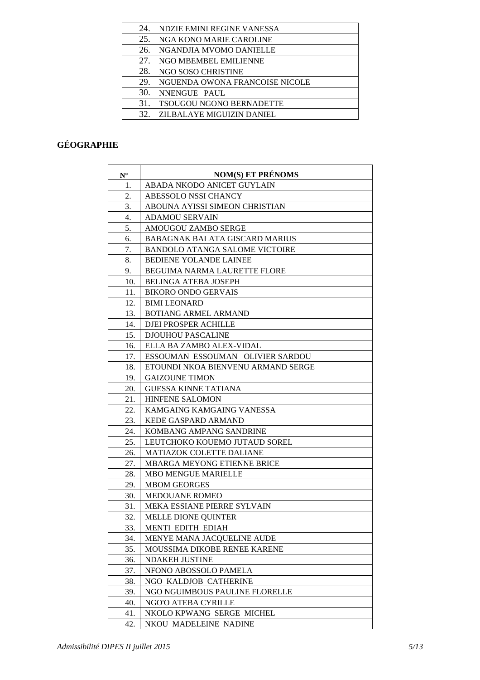| 24. | NDZIE EMINI REGINE VANESSA      |
|-----|---------------------------------|
| 25. | NGA KONO MARIE CAROLINE         |
| 26. | NGANDJIA MVOMO DANIELLE         |
| 27. | NGO MBEMBEL EMILIENNE           |
| 28. | NGO SOSO CHRISTINE              |
| 29. | NGUENDA OWONA FRANCOISE NICOLE  |
| 30. | NNENGUE PAUL                    |
| 31. | <b>TSOUGOU NGONO BERNADETTE</b> |
| 32  | ZILBALAYE MIGUIZIN DANIEL       |
|     |                                 |

# **GÉOGRAPHIE**

| $\mathbf{N}^{\circ}$ | <b>NOM(S) ET PRÉNOMS</b>              |
|----------------------|---------------------------------------|
| 1.                   | ABADA NKODO ANICET GUYLAIN            |
| 2.                   | ABESSOLO NSSI CHANCY                  |
| 3.                   | ABOUNA AYISSI SIMEON CHRISTIAN        |
| 4.                   | ADAMOU SERVAIN                        |
| 5.                   | AMOUGOU ZAMBO SERGE                   |
| 6.                   | <b>BABAGNAK BALATA GISCARD MARIUS</b> |
| 7.                   | <b>BANDOLO ATANGA SALOME VICTOIRE</b> |
| 8.                   | BEDIENE YOLANDE LAINEE                |
| 9.                   | <b>BEGUIMA NARMA LAURETTE FLORE</b>   |
| 10.                  | <b>BELINGA ATEBA JOSEPH</b>           |
| 11.                  | <b>BIKORO ONDO GERVAIS</b>            |
| 12.                  | <b>BIMI LEONARD</b>                   |
| 13.                  | <b>BOTIANG ARMEL ARMAND</b>           |
| 14.                  | DJEI PROSPER ACHILLE                  |
| 15.                  | <b>DJOUHOU PASCALINE</b>              |
| 16.                  | ELLA BA ZAMBO ALEX-VIDAL              |
| 17.                  | ESSOUMAN ESSOUMAN OLIVIER SARDOU      |
| 18.                  | ETOUNDI NKOA BIENVENU ARMAND SERGE    |
| 19.                  | <b>GAIZOUNE TIMON</b>                 |
| 20.                  | <b>GUESSA KINNE TATIANA</b>           |
| 21.                  | HINFENE SALOMON                       |
| 22.                  | KAMGAING KAMGAING VANESSA             |
| 23.                  | KEDE GASPARD ARMAND                   |
| 24.                  | KOMBANG AMPANG SANDRINE               |
| 25.                  | LEUTCHOKO KOUEMO JUTAUD SOREL         |
| 26.                  | MATIAZOK COLETTE DALIANE              |
| 27.                  | <b>MBARGA MEYONG ETIENNE BRICE</b>    |
| 28.                  | <b>MBO MENGUE MARIELLE</b>            |
| 29.                  | <b>MBOM GEORGES</b>                   |
| 30.                  | MEDOUANE ROMEO                        |
| 31.                  | MEKA ESSIANE PIERRE SYLVAIN           |
| 32.                  | <b>MELLE DIONE QUINTER</b>            |
| 33.                  | MENTI EDITH EDIAH                     |
| 34.                  | MENYE MANA JACQUELINE AUDE            |
| 35.                  | MOUSSIMA DIKOBE RENEE KARENE          |
| 36.                  | <b>NDAKEH JUSTINE</b>                 |
| 37.                  | NFONO ABOSSOLO PAMELA                 |
| 38.                  | NGO KALDJOB CATHERINE                 |
| 39.                  | NGO NGUIMBOUS PAULINE FLORELLE        |
| 40.                  | NGO'O ATEBA CYRILLE                   |
| 41.                  | NKOLO KPWANG SERGE MICHEL             |
| 42.                  | NKOU MADELEINE NADINE                 |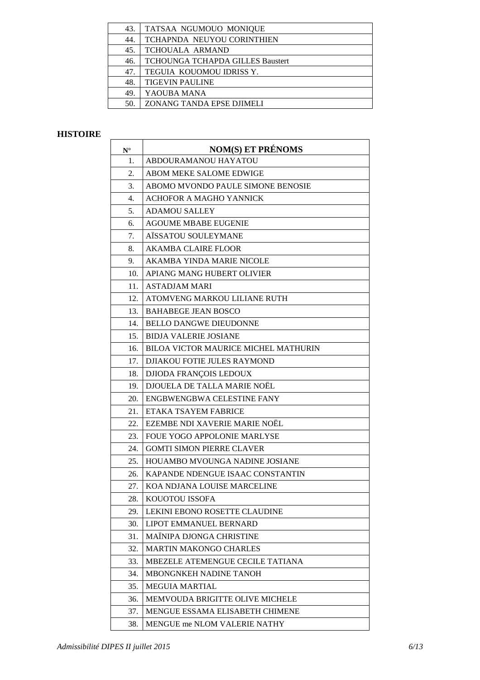## **HISTOIRE**

| $\mathbf{N}^\circ$ | <b>NOM(S) ET PRÉNOMS</b>                    |
|--------------------|---------------------------------------------|
| 1.                 | ABDOURAMANOU HAYATOU                        |
| 2.                 | ABOM MEKE SALOME EDWIGE                     |
| 3.                 | ABOMO MVONDO PAULE SIMONE BENOSIE           |
| 4.                 | <b>ACHOFOR A MAGHO YANNICK</b>              |
| 5.                 | <b>ADAMOU SALLEY</b>                        |
| 6.                 | <b>AGOUME MBABE EUGENIE</b>                 |
| 7.                 | AISSATOU SOULEYMANE                         |
| 8.                 | <b>AKAMBA CLAIRE FLOOR</b>                  |
| 9.                 | AKAMBA YINDA MARIE NICOLE                   |
| 10.                | APIANG MANG HUBERT OLIVIER                  |
| 11.                | ASTADJAM MARI                               |
| 12.                | ATOMVENG MARKOU LILIANE RUTH                |
| 13.                | <b>BAHABEGE JEAN BOSCO</b>                  |
| 14.                | <b>BELLO DANGWE DIEUDONNE</b>               |
| 15.                | <b>BIDJA VALERIE JOSIANE</b>                |
| 16.                | <b>BILOA VICTOR MAURICE MICHEL MATHURIN</b> |
| 17.                | <b>DJIAKOU FOTIE JULES RAYMOND</b>          |
| 18.                | DJIODA FRANÇOIS LEDOUX                      |
| 19.                | DJOUELA DE TALLA MARIE NOËL                 |
| 20.                | ENGBWENGBWA CELESTINE FANY                  |
| 21.                | ETAKA TSAYEM FABRICE                        |
| 22.                | EZEMBE NDI XAVERIE MARIE NOËL               |
| 23.                | FOUE YOGO APPOLONIE MARLYSE                 |
| 24.                | <b>GOMTI SIMON PIERRE CLAVER</b>            |
| 25.                | HOUAMBO MVOUNGA NADINE JOSIANE              |
| 26.                | KAPANDE NDENGUE ISAAC CONSTANTIN            |
| 27.                | KOA NDJANA LOUISE MARCELINE                 |
| 28.                | KOUOTOU ISSOFA                              |
| 29.                | LEKINI EBONO ROSETTE CLAUDINE               |
| 30.                | LIPOT EMMANUEL BERNARD                      |
| 31.                | MAÏNIPA DJONGA CHRISTINE                    |
| 32.                | <b>MARTIN MAKONGO CHARLES</b>               |
| 33.                | MBEZELE ATEMENGUE CECILE TATIANA            |
| 34.                | <b>MBONGNKEH NADINE TANOH</b>               |
| 35.                | <b>MEGUIA MARTIAL</b>                       |
| 36.                | MEMVOUDA BRIGITTE OLIVE MICHELE             |
| 37.                | MENGUE ESSAMA ELISABETH CHIMENE             |
| 38.                | MENGUE me NLOM VALERIE NATHY                |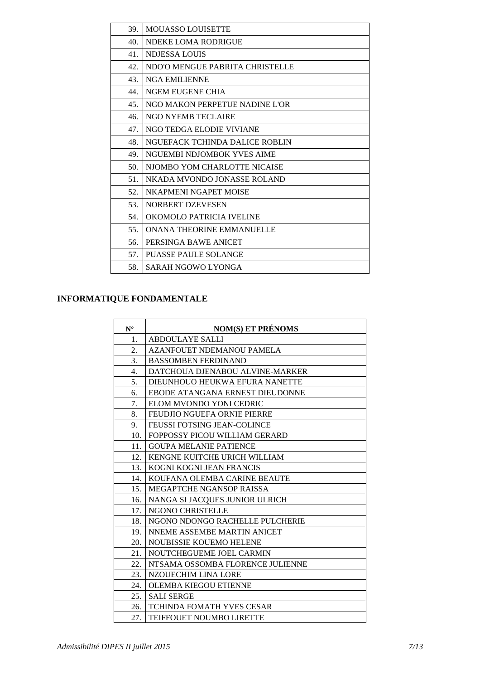| 39. | <b>MOUASSO LOUISETTE</b>         |
|-----|----------------------------------|
| 40. | NDEKE LOMA RODRIGUE              |
| 41. | NDJESSA LOUIS                    |
| 42. | NDO'O MENGUE PABRITA CHRISTELLE  |
| 43. | <b>NGA EMILIENNE</b>             |
| 44. | NGEM EUGENE CHIA                 |
| 45. | NGO MAKON PERPETUE NADINE L'OR   |
| 46. | NGO NYEMB TECLAIRE               |
| 47. | NGO TEDGA ELODIE VIVIANE         |
| 48. | NGUEFACK TCHINDA DALICE ROBLIN   |
| 49. | NGUEMBI NDJOMBOK YVES AIME       |
| 50. | NJOMBO YOM CHARLOTTE NICAISE     |
| 51. | NKADA MVONDO JONASSE ROLAND      |
| 52. | NKAPMENI NGAPET MOISE            |
| 53. | NORBERT DZEVESEN                 |
| 54. | OKOMOLO PATRICIA IVELINE         |
| 55. | <b>ONANA THEORINE EMMANUELLE</b> |
| 56. | PERSINGA BAWE ANICET             |
| 57. | <b>PUASSE PAULE SOLANGE</b>      |
| 58. | SARAH NGOWO LYONGA               |

## **INFORMATIQUE FONDAMENTALE**

| $N^{\circ}$ | <b>NOM(S) ET PRÉNOMS</b>           |
|-------------|------------------------------------|
| 1.          | <b>ABDOULAYE SALLI</b>             |
| 2.          | <b>AZANFOUET NDEMANOU PAMELA</b>   |
| 3.          | <b>BASSOMBEN FERDINAND</b>         |
| 4.          | DATCHOUA DJENABOU ALVINE-MARKER    |
| 5.          | DIEUNHOUO HEUKWA EFURA NANETTE     |
| 6.          | EBODE ATANGANA ERNEST DIEUDONNE    |
| 7.          | ELOM MVONDO YONI CEDRIC            |
| 8.          | <b>FEUDJIO NGUEFA ORNIE PIERRE</b> |
| 9.          | <b>FEUSSI FOTSING JEAN-COLINCE</b> |
| 10.         | FOPPOSSY PICOU WILLIAM GERARD      |
| 11.         | <b>GOUPA MELANIE PATIENCE</b>      |
| 12.         | KENGNE KUITCHE URICH WILLIAM       |
| 13.         | KOGNI KOGNI JEAN FRANCIS           |
| 14.         | KOUFANA OLEMBA CARINE BEAUTE       |
| 15.         | MEGAPTCHE NGANSOP RAISSA           |
| 16.         | NANGA SI JACQUES JUNIOR ULRICH     |
| 17.         | NGONO CHRISTELLE                   |
| 18.         | NGONO NDONGO RACHELLE PULCHERIE    |
| 19.         | NNEME ASSEMBE MARTIN ANICET        |
| 20.         | <b>NOUBISSIE KOUEMO HELENE</b>     |
| 21.         | NOUTCHEGUEME JOEL CARMIN           |
| 22.         | NTSAMA OSSOMBA FLORENCE JULIENNE   |
| 23.         | NZOUECHIM LINA LORE                |
| 24.         | <b>OLEMBA KIEGOU ETIENNE</b>       |
| 25.         | <b>SALI SERGE</b>                  |
| 26.         | <b>TCHINDA FOMATH YVES CESAR</b>   |
| 27.         | TEIFFOUET NOUMBO LIRETTE           |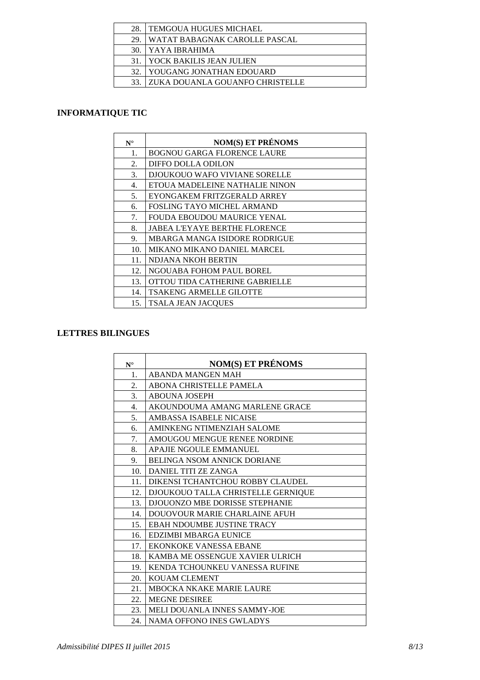| 28. | <b>TEMGOUA HUGUES MICHAEL</b>   |
|-----|---------------------------------|
| 29  | WATAT BABAGNAK CAROLLE PASCAL   |
| 30. | I YAYA IBRAHIMA                 |
| 31. | YOCK BAKILIS JEAN JULIEN        |
| 32. | YOUGANG JONATHAN EDOUARD        |
|     | ZUKA DOUANLA GOUANFO CHRISTELLE |
|     |                                 |

## **INFORMATIQUE TIC**

| $N^{\circ}$ | <b>NOM(S) ET PRÉNOMS</b>             |
|-------------|--------------------------------------|
| 1.          | <b>BOGNOU GARGA FLORENCE LAURE</b>   |
| 2.          | DIFFO DOLLA ODILON                   |
| 3.          | DJOUKOUO WAFO VIVIANE SORELLE        |
| 4.          | ETOUA MADELEINE NATHALIE NINON       |
| 5.          | EYONGAKEM FRITZGERALD ARREY          |
| 6.          | <b>FOSLING TAYO MICHEL ARMAND</b>    |
| 7.          | <b>FOUDA EBOUDOU MAURICE YENAL</b>   |
| 8.          | <b>JABEA L'EYAYE BERTHE FLORENCE</b> |
| 9.          | <b>MBARGA MANGA ISIDORE RODRIGUE</b> |
| 10.         | MIKANO MIKANO DANIEL MARCEL          |
| 11.         | NDJANA NKOH BERTIN                   |
| 12.         | NGOUABA FOHOM PAUL BOREL             |
| 13.         | OTTOU TIDA CATHERINE GABRIELLE       |
| 14.         | <b>TSAKENG ARMELLE GILOTTE</b>       |
| 15.         | <b>TSALA JEAN JACQUES</b>            |

## **LETTRES BILINGUES**

| $N^{\circ}$ | <b>NOM(S) ET PRÉNOMS</b>           |
|-------------|------------------------------------|
| 1.          | <b>ABANDA MANGEN MAH</b>           |
| 2.          | ABONA CHRISTELLE PAMELA            |
| 3.          | <b>ABOUNA JOSEPH</b>               |
| 4.          | AKOUNDOUMA AMANG MARLENE GRACE     |
| 5.          | AMBASSA ISABELE NICAISE            |
| 6.          | AMINKENG NTIMENZIAH SALOME         |
| 7.          | AMOUGOU MENGUE RENEE NORDINE       |
| 8.          | <b>APAJIE NGOULE EMMANUEL</b>      |
| 9.          | <b>BELINGA NSOM ANNICK DORIANE</b> |
| 10.         | DANIEL TITI ZE ZANGA               |
| 11.         | DIKENSI TCHANTCHOU ROBBY CLAUDEL   |
| 12.         | DJOUKOUO TALLA CHRISTELLE GERNIQUE |
| 13.         | DJOUONZO MBE DORISSE STEPHANIE     |
| 14.         | DOUOVOUR MARIE CHARLAINE AFUH      |
| 15.         | <b>EBAH NDOUMBE JUSTINE TRACY</b>  |
| 16.         | EDZIMBI MBARGA EUNICE              |
| 17.         | EKONKOKE VANESSA EBANE             |
| 18.         | KAMBA ME OSSENGUE XAVIER ULRICH    |
| 19.         | KENDA TCHOUNKEU VANESSA RUFINE     |
| 20.         | <b>KOUAM CLEMENT</b>               |
| 21.         | <b>MBOCKA NKAKE MARIE LAURE</b>    |
| 22.         | <b>MEGNE DESIREE</b>               |
| 23.         | MELI DOUANLA INNES SAMMY-JOE       |
| 24.         | <b>NAMA OFFONO INES GWLADYS</b>    |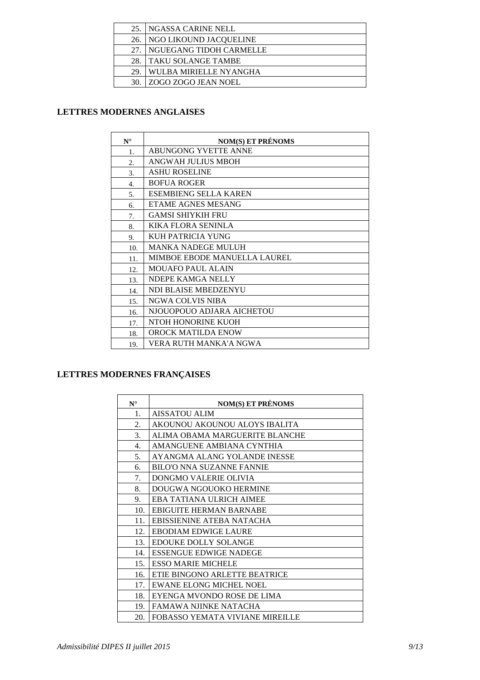|     | 25. INGASSA CARINE NELL    |
|-----|----------------------------|
|     | 26. NGO LIKOUND JACQUELINE |
| 27. | I NGUEGANG TIDOH CARMELLE  |
| 28. | I TAKU SOLANGE TAMBE       |
| 29  | WULBA MIRIELLE NYANGHA     |
| 30. | l ZOGO ZOGO JEAN NOEL      |

## **LETTRES MODERNES ANGLAISES**

| $N^{\circ}$      | <b>NOM(S) ET PRÉNOMS</b>            |
|------------------|-------------------------------------|
| 1.               | ABUNGONG YVETTE ANNE                |
| 2.               | ANGWAH JULIUS MBOH                  |
| 3.               | <b>ASHU ROSELINE</b>                |
| $\overline{4}$ . | <b>BOFUA ROGER</b>                  |
| 5.               | <b>ESEMBIENG SELLA KAREN</b>        |
| б.               | <b>ETAME AGNES MESANG</b>           |
| 7.               | <b>GAMSI SHIYKIH FRU</b>            |
| 8.               | KIKA FLORA SENINLA                  |
| 9.               | <b>KUH PATRICIA YUNG</b>            |
| 10.              | <b>MANKA NADEGE MULUH</b>           |
| 11.              | <b>MIMBOE EBODE MANUELLA LAUREL</b> |
| 12.              | <b>MOUAFO PAUL ALAIN</b>            |
| 13.              | NDEPE KAMGA NELLY                   |
| 14.              | NDI BLAISE MBEDZENYU                |
| 15.              | NGWA COLVIS NIBA                    |
| 16.              | NJOUOPOUO ADJARA AICHETOU           |
| 17.              | NTOH HONORINE KUOH                  |
| 18.              | <b>OROCK MATILDA ENOW</b>           |
| 19.              | VERA RUTH MANKA'A NGWA              |

## **LETTRES MODERNES FRANÇAISES**

| $N^{\circ}$ | <b>NOM(S) ET PRÉNOMS</b>         |
|-------------|----------------------------------|
| 1.          | <b>AISSATOU ALIM</b>             |
| 2.          | AKOUNOU AKOUNOU ALOYS IBALITA    |
| 3.          | ALIMA OBAMA MARGUERITE BLANCHE   |
| 4.          | AMANGUENE AMBIANA CYNTHIA        |
| 5.          | AYANGMA ALANG YOLANDE INESSE     |
| 6.          | <b>BILO'O NNA SUZANNE FANNIE</b> |
| 7.          | <b>DONGMO VALERIE OLIVIA</b>     |
| 8.          | DOUGWA NGOUOKO HERMINE           |
| 9.          | EBA TATIANA ULRICH AIMEE         |
| 10.         | <b>EBIGUITE HERMAN BARNABE</b>   |
| 11.         | EBISSIENINE ATEBA NATACHA        |
| 12.         | EBODIAM EDWIGE LAURE             |
| 13.         | <b>EDOUKE DOLLY SOLANGE</b>      |
| 14.         | <b>ESSENGUE EDWIGE NADEGE</b>    |
| 15.         | <b>ESSO MARIE MICHELE</b>        |
| 16.         | ETIE BINGONO ARLETTE BEATRICE    |
| 17.         | <b>EWANE ELONG MICHEL NOEL</b>   |
| 18.         | EYENGA MVONDO ROSE DE LIMA       |
| 19.         | <b>FAMAWA NJINKE NATACHA</b>     |
| 20.         | FOBASSO YEMATA VIVIANE MIREILLE  |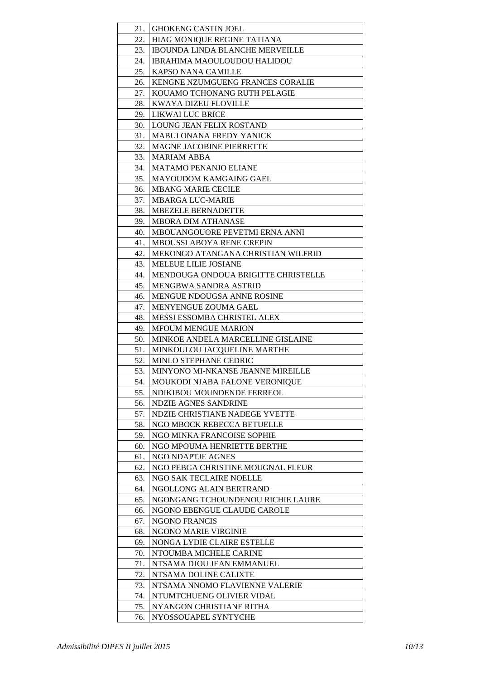| 21. | <b>GHOKENG CASTIN JOEL</b>             |
|-----|----------------------------------------|
| 22. | HIAG MONIQUE REGINE TATIANA            |
| 23. | <b>IBOUNDA LINDA BLANCHE MERVEILLE</b> |
| 24. | IBRAHIMA MAOULOUDOU HALIDOU            |
| 25. | KAPSO NANA CAMILLE                     |
| 26. | KENGNE NZUMGUENG FRANCES CORALIE       |
| 27. | KOUAMO TCHONANG RUTH PELAGIE           |
| 28. | KWAYA DIZEU FLOVILLE                   |
| 29. | LIKWAI LUC BRICE                       |
| 30. | LOUNG JEAN FELIX ROSTAND               |
| 31. | <b>MABUI ONANA FREDY YANICK</b>        |
| 32. | <b>MAGNE JACOBINE PIERRETTE</b>        |
| 33. | <b>MARIAM ABBA</b>                     |
| 34. | <b>MATAMO PENANJO ELIANE</b>           |
| 35. | MAYOUDOM KAMGAING GAEL                 |
| 36. | <b>MBANG MARIE CECILE</b>              |
| 37. | <b>MBARGA LUC-MARIE</b>                |
| 38. | <b>MBEZELE BERNADETTE</b>              |
| 39. | <b>MBORA DIM ATHANASE</b>              |
| 40. | MBOUANGOUORE PEVETMI ERNA ANNI         |
| 41. | <b>MBOUSSI ABOYA RENE CREPIN</b>       |
| 42. | MEKONGO ATANGANA CHRISTIAN WILFRID     |
| 43. | <b>MELEUE LILIE JOSIANE</b>            |
| 44. | MENDOUGA ONDOUA BRIGITTE CHRISTELLE    |
| 45. | MENGBWA SANDRA ASTRID                  |
| 46. | <b>MENGUE NDOUGSA ANNE ROSINE</b>      |
| 47. | <b>MENYENGUE ZOUMA GAEL</b>            |
| 48. | <b>MESSI ESSOMBA CHRISTEL ALEX</b>     |
| 49. | <b>MFOUM MENGUE MARION</b>             |
| 50. | MINKOE ANDELA MARCELLINE GISLAINE      |
| 51. | MINKOULOU JACQUELINE MARTHE            |
| 52. | MINLO STEPHANE CEDRIC                  |
| 53. | MINYONO MI-NKANSE JEANNE MIREILLE      |
| 54. | MOUKODI NJABA FALONE VERONIQUE         |
| 55. | NDIKIBOU MOUNDENDE FERREOL             |
| 56. | <b>NDZIE AGNES SANDRINE</b>            |
| 57. | NDZIE CHRISTIANE NADEGE YVETTE         |
| 58. | NGO MBOCK REBECCA BETUELLE             |
| 59. | NGO MINKA FRANCOISE SOPHIE             |
| 60. | NGO MPOUMA HENRIETTE BERTHE            |
| 61. | NGO NDAPTJE AGNES                      |
| 62. | NGO PEBGA CHRISTINE MOUGNAL FLEUR      |
| 63. | NGO SAK TECLAIRE NOELLE                |
| 64. | NGOLLONG ALAIN BERTRAND                |
| 65. | NGONGANG TCHOUNDENOU RICHIE LAURE      |
| 66. | NGONO EBENGUE CLAUDE CAROLE            |
| 67. | <b>NGONO FRANCIS</b>                   |
| 68. | NGONO MARIE VIRGINIE                   |
| 69. | NONGA LYDIE CLAIRE ESTELLE             |
| 70. | NTOUMBA MICHELE CARINE                 |
| 71. | NTSAMA DJOU JEAN EMMANUEL              |
| 72. | NTSAMA DOLINE CALIXTE                  |
| 73. | NTSAMA NNOMO FLAVIENNE VALERIE         |
| 74. | NTUMTCHUENG OLIVIER VIDAL              |
| 75. | NYANGON CHRISTIANE RITHA               |
| 76. | NYOSSOUAPEL SYNTYCHE                   |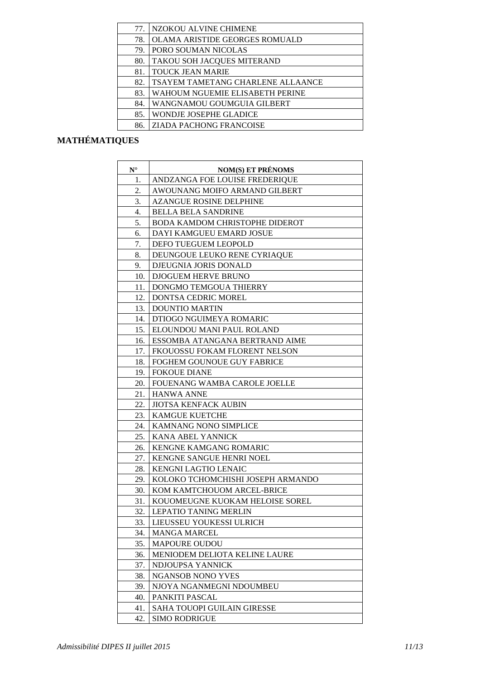| 77. | NZOKOU ALVINE CHIMENE                 |
|-----|---------------------------------------|
| 78. | <b>OLAMA ARISTIDE GEORGES ROMUALD</b> |
| 79. | PORO SOUMAN NICOLAS                   |
| 80. | TAKOU SOH JACQUES MITERAND            |
| 81. | <b>TOUCK JEAN MARIE</b>               |
| 82. | TSAYEM TAMETANG CHARLENE ALLAANCE     |
| 83. | WAHOUM NGUEMIE ELISABETH PERINE       |
| 84. | WANGNAMOU GOUMGUIA GILBERT            |
| 85. | WONDJE JOSEPHE GLADICE                |
| 86. | <b>ZIADA PACHONG FRANCOISE</b>        |

# **MATHÉMATIQUES**

| $N^{\circ}$ | <b>NOM(S) ET PRÉNOMS</b>              |
|-------------|---------------------------------------|
| 1.          | ANDZANGA FOE LOUISE FREDERIQUE        |
| 2.          | AWOUNANG MOIFO ARMAND GILBERT         |
| 3.          | <b>AZANGUE ROSINE DELPHINE</b>        |
| 4.          | <b>BELLA BELA SANDRINE</b>            |
| 5.          | <b>BODA KAMDOM CHRISTOPHE DIDEROT</b> |
| 6.          | DAYI KAMGUEU EMARD JOSUE              |
| 7.          | DEFO TUEGUEM LEOPOLD                  |
| 8.          | DEUNGOUE LEUKO RENE CYRIAQUE          |
| 9.          | DJEUGNIA JORIS DONALD                 |
| 10.         | DJOGUEM HERVE BRUNO                   |
| 11.         | DONGMO TEMGOUA THIERRY                |
| 12.         | DONTSA CEDRIC MOREL                   |
| 13.         | <b>DOUNTIO MARTIN</b>                 |
| 14.         | DTIOGO NGUIMEYA ROMARIC               |
| 15.         | ELOUNDOU MANI PAUL ROLAND             |
| 16.         | ESSOMBA ATANGANA BERTRAND AIME        |
| 17.         | FKOUOSSU FOKAM FLORENT NELSON         |
| 18.         | FOGHEM GOUNOUE GUY FABRICE            |
| 19.         | <b>FOKOUE DIANE</b>                   |
| 20.         | FOUENANG WAMBA CAROLE JOELLE          |
| 21.         | <b>HANWA ANNE</b>                     |
| 22.         | <b>JIOTSA KENFACK AUBIN</b>           |
| 23.         | <b>KAMGUE KUETCHE</b>                 |
| 24.         | KAMNANG NONO SIMPLICE                 |
| 25.         | KANA ABEL YANNICK                     |
| 26.         | KENGNE KAMGANG ROMARIC                |
| 27.         | KENGNE SANGUE HENRI NOEL              |
| 28.         | KENGNI LAGTIO LENAIC                  |
| 29.         | KOLOKO TCHOMCHISHI JOSEPH ARMANDO     |
| 30.         | KOM KAMTCHOUOM ARCEL-BRICE            |
| 31.         | KOUOMEUGNE KUOKAM HELOISE SOREL       |
| 32.         | LEPATIO TANING MERLIN                 |
| 33.         | <b>LIEUSSEU YOUKESSI ULRICH</b>       |
| 34.         | <b>MANGA MARCEL</b>                   |
| 35.         | <b>MAPOURE OUDOU</b>                  |
| 36.         | MENIODEM DELIOTA KELINE LAURE         |
| 37.         | NDJOUPSA YANNICK                      |
| 38.         | <b>NGANSOB NONO YVES</b>              |
| 39.         | NJOYA NGANMEGNI NDOUMBEU              |
| 40.         | PANKITI PASCAL                        |
| 41.         | SAHA TOUOPI GUILAIN GIRESSE           |
| 42.         | <b>SIMO RODRIGUE</b>                  |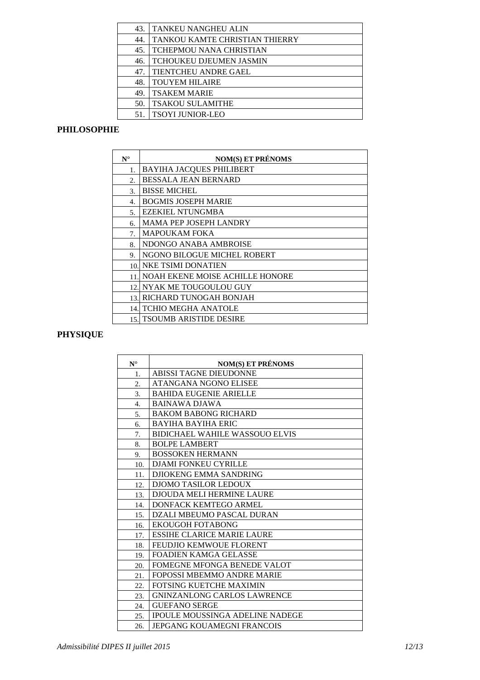| 43. | l TANKEU NANGHEU ALIN          |
|-----|--------------------------------|
| 44. | TANKOU KAMTE CHRISTIAN THIERRY |
| 45. | <b>TCHEPMOU NANA CHRISTIAN</b> |
| 46. | <b>TCHOUKEU DJEUMEN JASMIN</b> |
| 47. | TIENTCHEU ANDRE GAEL           |
| 48. | <b>TOUYEM HILAIRE</b>          |
| 49. | <b>TSAKEM MARIE</b>            |
| 50. | <b>TSAKOU SULAMITHE</b>        |
|     | <b>TSOYI JUNIOR-LEO</b>        |

## **PHILOSOPHIE**

| $N^{\circ}$ | <b>NOM(S) ET PRÉNOMS</b>               |
|-------------|----------------------------------------|
| 1.          | <b>BAYIHA JACQUES PHILIBERT</b>        |
| 2.          | <b>BESSALA JEAN BERNARD</b>            |
| 3.          | <b>BISSE MICHEL</b>                    |
| 4.          | <b>BOGMIS JOSEPH MARIE</b>             |
| 5.          | <b>EZEKIEL NTUNGMBA</b>                |
| б.          | <b>MAMA PEP JOSEPH LANDRY</b>          |
| 7.          | <b>MAPOUKAM FOKA</b>                   |
| 8.          | NDONGO ANABA AMBROISE                  |
| 9.          | NGONO BILOGUE MICHEL ROBERT            |
| 10.         | <b>NKE TSIMI DONATIEN</b>              |
| 11          | <b>NOAH EKENE MOISE ACHILLE HONORE</b> |
| 12.         | NYAK ME TOUGOULOU GUY                  |
| 13.         | RICHARD TUNOGAH BONJAH                 |
| 14.         | <b>TCHIO MEGHA ANATOLE</b>             |
|             | 15. TSOUMB ARISTIDE DESIRE             |

# **PHYSIQUE**

| $N^{\circ}$ | <b>NOM(S) ET PRÉNOMS</b>               |
|-------------|----------------------------------------|
| 1.          | ABISSI TAGNE DIEUDONNE                 |
| 2.          | ATANGANA NGONO ELISEE                  |
| 3.          | <b>BAHIDA EUGENIE ARIELLE</b>          |
| 4.          | <b>BAINAWA DJAWA</b>                   |
| 5.          | <b>BAKOM BABONG RICHARD</b>            |
| 6.          | <b>BAYIHA BAYIHA ERIC</b>              |
| 7.          | <b>BIDICHAEL WAHILE WASSOUO ELVIS</b>  |
| 8.          | <b>BOLPE LAMBERT</b>                   |
| 9.          | <b>BOSSOKEN HERMANN</b>                |
| 10.         | DJAMI FONKEU CYRILLE                   |
| 11.         | DJIOKENG EMMA SANDRING                 |
| 12.         | <b>DJOMO TASILOR LEDOUX</b>            |
| 13.         | <b>DJOUDA MELI HERMINE LAURE</b>       |
| 14.         | DONFACK KEMTEGO ARMEL                  |
| 15.         | DZALI MBEUMO PASCAL DURAN              |
| 16.         | EKOUGOH FOTABONG                       |
| 17.         | <b>ESSIHE CLARICE MARIE LAURE</b>      |
| 18.         | <b>FEUDJIO KEMWOUE FLORENT</b>         |
| 19.         | <b>FOADIEN KAMGA GELASSE</b>           |
| 20.         | FOMEGNE MFONGA BENEDE VALOT            |
| 21.         | FOPOSSI MBEMMO ANDRE MARIE             |
| 22.         | <b>FOTSING KUETCHE MAXIMIN</b>         |
| 23.         | <b>GNINZANLONG CARLOS LAWRENCE</b>     |
| 24.         | <b>GUEFANO SERGE</b>                   |
| 25.         | <b>IPOULE MOUSSINGA ADELINE NADEGE</b> |
| 26.         | JEPGANG KOUAMEGNI FRANCOIS             |